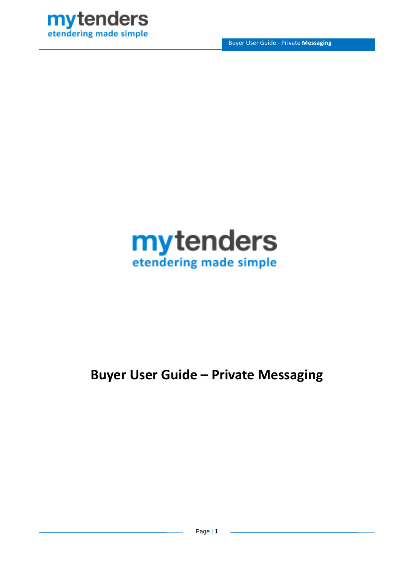

Buyer User Guide - Private **Messaging**



# <span id="page-0-0"></span>**Buyer User Guide – Private Messaging**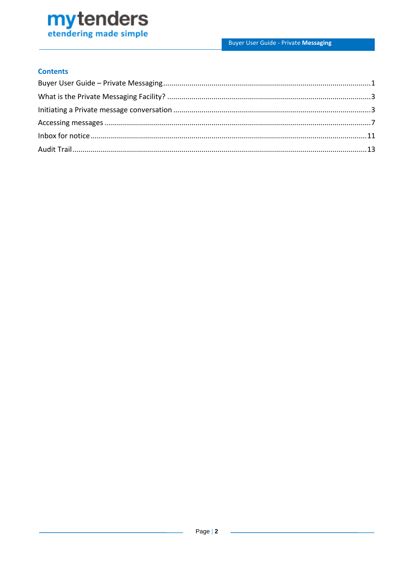

# **Contents**

J.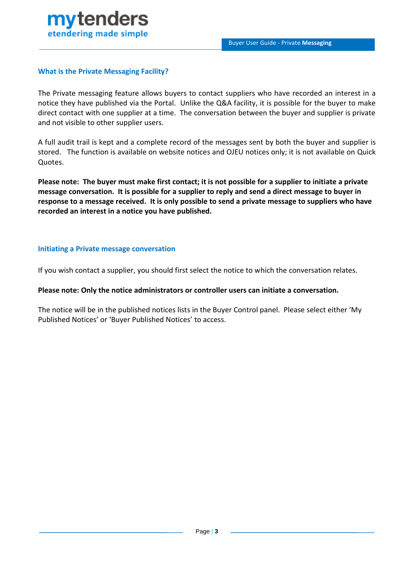

# <span id="page-2-0"></span>**What is the Private Messaging Facility?**

The Private messaging feature allows buyers to contact suppliers who have recorded an interest in a notice they have published via the Portal. Unlike the Q&A facility, it is possible for the buyer to make direct contact with one supplier at a time. The conversation between the buyer and supplier is private and not visible to other supplier users.

A full audit trail is kept and a complete record of the messages sent by both the buyer and supplier is stored. The function is available on website notices and OJEU notices only; it is not available on Quick Quotes.

**Please note: The buyer must make first contact; it is not possible for a supplier to initiate a private message conversation. It is possible for a supplier to reply and send a direct message to buyer in response to a message received. It is only possible to send a private message to suppliers who have recorded an interest in a notice you have published.**

## <span id="page-2-1"></span>**Initiating a Private message conversation**

If you wish contact a supplier, you should first select the notice to which the conversation relates.

## **Please note: Only the notice administrators or controller users can initiate a conversation.**

The notice will be in the published notices lists in the Buyer Control panel. Please select either 'My Published Notices' or 'Buyer Published Notices' to access.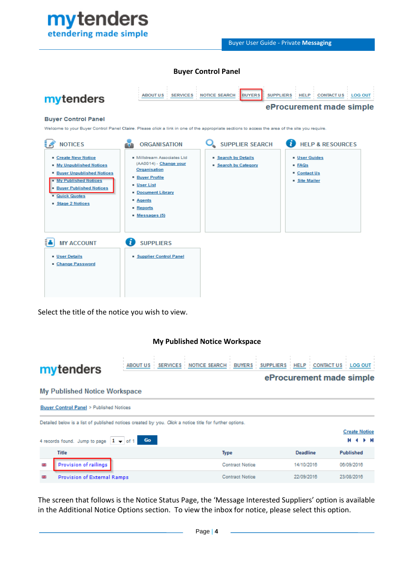

## **Buyer Control Panel**

| mytenders                                                                                                                                                                                             | <b>SERVICES</b><br><b>ABOUT US</b>                                                                                                                                                                                        | <b>NOTICE SEARCH</b><br><b>SUPPLIERS</b><br><b>BUYERS</b>                                                                                                                                                                  | <b>HELP</b><br><b>CONTACT US</b><br><b>LOG OUT</b><br>eProcurement made simple         |
|-------------------------------------------------------------------------------------------------------------------------------------------------------------------------------------------------------|---------------------------------------------------------------------------------------------------------------------------------------------------------------------------------------------------------------------------|----------------------------------------------------------------------------------------------------------------------------------------------------------------------------------------------------------------------------|----------------------------------------------------------------------------------------|
| <b>Buyer Control Panel</b>                                                                                                                                                                            |                                                                                                                                                                                                                           |                                                                                                                                                                                                                            |                                                                                        |
| <b>NOTICES</b><br>Create New Notice<br>My Unpublished Notices<br><b>Buver Unpublished Notices</b><br>My Published Notices<br><b>Buyer Published Notices</b><br><b>Quick Quotes</b><br>Stage 2 Notices | <b>ORGANISATION</b><br>· Millstream Associates Ltd<br>(AA0014) - Change your<br>Organisation<br><b>Buyer Profile</b><br><b>■ User List</b><br><b>Document Library</b><br><b>A</b> qents<br><b>Reports</b><br>Messages (5) | Welcome to your Buyer Control Panel Claire. Please click a link in one of the appropriate sections to access the area of the site you require.<br><b>SUPPLIER SEARCH</b><br>Search by Details<br><b>Search by Category</b> | <b>HELP &amp; RESOURCES</b><br>User Guides<br><b>FAQs</b><br>Contact Us<br>Site Mailer |
| <b>MY ACCOUNT</b><br><b>User Details</b><br>Change Password                                                                                                                                           | <b>SUPPLIERS</b><br><b>Supplier Control Panel</b>                                                                                                                                                                         |                                                                                                                                                                                                                            |                                                                                        |

Select the title of the notice you wish to view.

# **My Published Notice Workspace**

|    | mytenders                                                                                                                                                                                        | <b>ABOUT US</b> |  |                        |                 | SERVICES NOTICE SEARCH BUYERS SUPPLIERS HELP CONTACT US LOG OUT<br>eProcurement made simple |
|----|--------------------------------------------------------------------------------------------------------------------------------------------------------------------------------------------------|-----------------|--|------------------------|-----------------|---------------------------------------------------------------------------------------------|
|    | <b>My Published Notice Workspace</b>                                                                                                                                                             |                 |  |                        |                 |                                                                                             |
|    | Buyer Control Panel > Published Notices                                                                                                                                                          |                 |  |                        |                 |                                                                                             |
|    | Detailed below is a list of published notices created by you. Click a notice title for further options.<br>4 records found. Jump to page $\begin{array}{ c c c c }\n1 & - & of 1 \\ \end{array}$ | Go.             |  |                        |                 | <b>Create Notice</b><br>м                                                                   |
|    | <b>Title</b>                                                                                                                                                                                     |                 |  | <b>Type</b>            | <b>Deadline</b> | Published                                                                                   |
| ŒВ | Provision of railings                                                                                                                                                                            |                 |  | <b>Contract Notice</b> | 14/10/2016      | 06/09/2016                                                                                  |
|    | Provision of External Ramps                                                                                                                                                                      |                 |  | <b>Contract Notice</b> | 22/09/2016      | 23/08/2016                                                                                  |

The screen that follows is the Notice Status Page, the 'Message Interested Suppliers' option is available in the Additional Notice Options section. To view the inbox for notice, please select this option.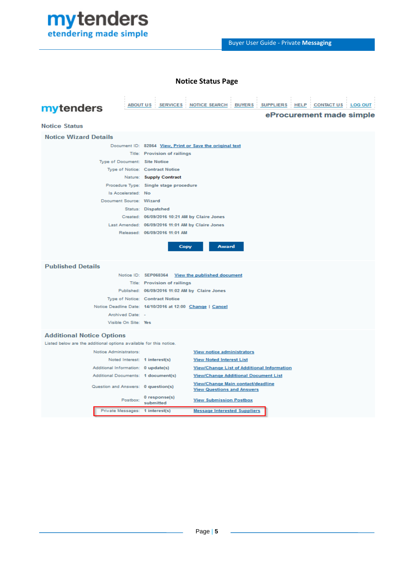# **mytenders**<br>etendering made simple

# Buyer User Guide - Private **Messaging**

# **Notice Status Page**

| <b>ABOUT US</b><br>mytenders                                       | <b>SERVICES</b><br><b>NOTICE SEARCH</b><br><b>BUYERS</b><br><b>SUPPLIERS</b><br><b>CONTACT US</b><br><b>LOG OUT</b><br><b>HELP</b> |
|--------------------------------------------------------------------|------------------------------------------------------------------------------------------------------------------------------------|
|                                                                    | eProcurement made simple                                                                                                           |
| <b>Notice Status</b>                                               |                                                                                                                                    |
| <b>Notice Wizard Details</b>                                       |                                                                                                                                    |
|                                                                    | Document ID: 82864 View, Print or Save the original text                                                                           |
|                                                                    | Title: Provision of railings                                                                                                       |
| Type of Document: Site Notice                                      |                                                                                                                                    |
|                                                                    | Type of Notice: Contract Notice                                                                                                    |
|                                                                    | Nature: Supply Contract                                                                                                            |
|                                                                    | Procedure Type: Single stage procedure                                                                                             |
| Is Accelerated: No                                                 |                                                                                                                                    |
| Document Source: Wizard                                            |                                                                                                                                    |
|                                                                    | Status: Dispatched                                                                                                                 |
|                                                                    | Created: 06/09/2016 10:21 AM by Claire Jones                                                                                       |
|                                                                    | Last Amended: 06/09/2016 11:01 AM by Claire Jones                                                                                  |
|                                                                    | Released: 06/09/2016 11:01 AM                                                                                                      |
|                                                                    | Award<br>Copy                                                                                                                      |
| <b>Published Details</b>                                           |                                                                                                                                    |
|                                                                    | Notice ID: SEP068364 View the published document                                                                                   |
|                                                                    | Title: Provision of railings                                                                                                       |
|                                                                    | Published: 06/09/2016 11:02 AM by Claire Jones                                                                                     |
|                                                                    | Type of Notice: Contract Notice                                                                                                    |
|                                                                    | Notice Deadline Date: 14/10/2016 at 12:00 Change   Cancel                                                                          |
| Archived Date: -                                                   |                                                                                                                                    |
| Visible On Site: Yes                                               |                                                                                                                                    |
| <b>Additional Notice Options</b>                                   |                                                                                                                                    |
| Listed below are the additional options available for this notice. |                                                                                                                                    |
| Notice Administrators:                                             | View notice administrators                                                                                                         |
| Noted Interest: 1 interest(s)                                      | <b>View Noted Interest List</b>                                                                                                    |
| Additional Information: 0 update(s)                                | View/Change List of Additional Information                                                                                         |
| Additional Documents: 1 document(s)                                | <b>View/Change Additional Document List</b>                                                                                        |
| Question and Answers: 0 question(s)                                | View/Change Main contact/deadline<br><b>View Questions and Answers</b>                                                             |
| Postbox:                                                           | 0 response(s)<br><b>View Submission Postbox</b><br>submitted                                                                       |
| Private Messages: 1 interest(s)                                    | <b>Message Interested Suppliers</b>                                                                                                |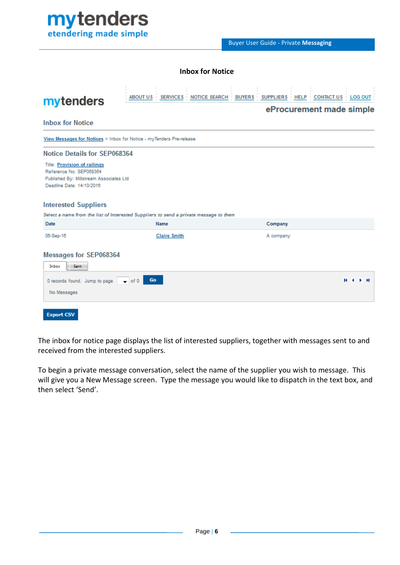

# **Inbox for Notice**

| mytenders                                                            |                                                                                       | ABOUT US SERVICES NOTICE SEARCH BUYERS SUPPLIERS HELP CONTACT US LOG OUT |                          |
|----------------------------------------------------------------------|---------------------------------------------------------------------------------------|--------------------------------------------------------------------------|--------------------------|
|                                                                      |                                                                                       |                                                                          | eProcurement made simple |
| <b>Inbox for Notice</b>                                              |                                                                                       |                                                                          |                          |
| View Messages for Notices > Inbox for Notice - myTenders Pre-release |                                                                                       |                                                                          |                          |
| Notice Details for SEP068364                                         |                                                                                       |                                                                          |                          |
| <b>Title: Provision of railings</b>                                  |                                                                                       |                                                                          |                          |
| Reference No: SEP068364                                              |                                                                                       |                                                                          |                          |
| Published By: Millstream Associates Ltd                              |                                                                                       |                                                                          |                          |
| Deadline Date: 14/10/2016                                            |                                                                                       |                                                                          |                          |
| <b>Interested Suppliers</b>                                          |                                                                                       |                                                                          |                          |
|                                                                      | Select a name from the list of Interested Suppliers to send a private message to them |                                                                          |                          |
| <b>Date</b>                                                          | Name                                                                                  | Company                                                                  |                          |
| 06-Sep-16                                                            | <b>Claire Smith</b>                                                                   | A company                                                                |                          |
| <b>Messages for SEP068364</b>                                        |                                                                                       |                                                                          |                          |
| Sent<br>Inbox                                                        |                                                                                       |                                                                          |                          |
| 0 records found. Jump to page                                        | Go.<br>$\bullet$ of 0                                                                 |                                                                          | н⊲<br>ы                  |
| No Messages                                                          |                                                                                       |                                                                          |                          |
| <b>Export CSV</b>                                                    |                                                                                       |                                                                          |                          |

The inbox for notice page displays the list of interested suppliers, together with messages sent to and received from the interested suppliers.

To begin a private message conversation, select the name of the supplier you wish to message. This will give you a New Message screen. Type the message you would like to dispatch in the text box, and then select 'Send'.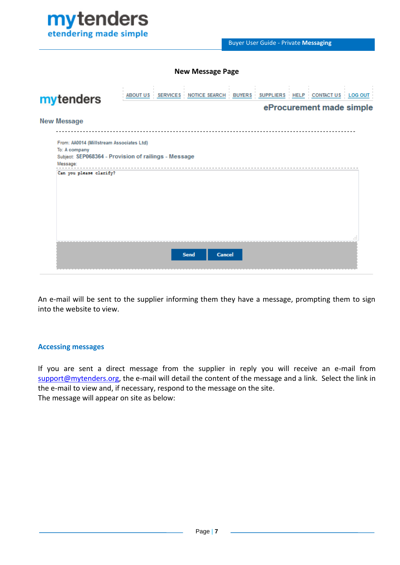

#### **New Message Page**

| mytenders                                                             | ABOUT US SERVICES NOTICE SEARCH BUYERS SUPPLIERS HELP CONTACT US LOG OUT |
|-----------------------------------------------------------------------|--------------------------------------------------------------------------|
|                                                                       | eProcurement made simple                                                 |
| <b>New Message</b>                                                    |                                                                          |
| From: AA0014 (Millstream Associates Ltd)<br>To: A company<br>Message: | Subject: SEP068364 - Provision of railings - Message                     |
| Can you please clarify?                                               |                                                                          |
|                                                                       |                                                                          |
|                                                                       |                                                                          |
|                                                                       |                                                                          |
|                                                                       | Cancel<br><b>Send</b>                                                    |

An e-mail will be sent to the supplier informing them they have a message, prompting them to sign into the website to view.

#### <span id="page-6-0"></span>**Accessing messages**

If you are sent a direct message from the supplier in reply you will receive an e-mail from [support@mytenders.org,](mailto:support@mytenders.org) the e-mail will detail the content of the message and a link. Select the link in the e-mail to view and, if necessary, respond to the message on the site. The message will appear on site as below: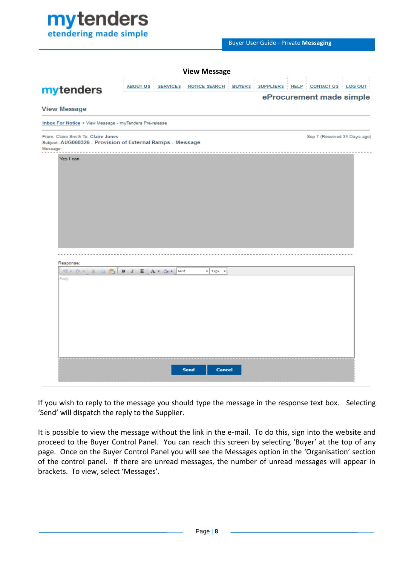

|                                                                                                               |                 | <b>View Message</b>           |  |                              |                |
|---------------------------------------------------------------------------------------------------------------|-----------------|-------------------------------|--|------------------------------|----------------|
| mytenders                                                                                                     | <b>ABOUT US</b> | SERVICES NOTICE SEARCH BUYERS |  | SUPPLIERS HELP CONTACTUS     | <b>LOG OUT</b> |
|                                                                                                               |                 |                               |  | eProcurement made simple     |                |
| <b>View Message</b>                                                                                           |                 |                               |  |                              |                |
| Inbox For Notice > View Message - myTenders Pre-release                                                       |                 |                               |  |                              |                |
| From: Claire Smith To: Claire Jones<br>Subject: AUG068326 - Provision of External Ramps - Message<br>Message: |                 |                               |  | Sep 7 (Received 34 Days ago) |                |
| Yes I can.                                                                                                    |                 |                               |  |                              |                |
| Response:                                                                                                     |                 |                               |  |                              |                |
|                                                                                                               |                 | $\bullet$ 13px $\bullet$      |  |                              |                |
| Reply                                                                                                         |                 |                               |  |                              |                |
|                                                                                                               |                 | <b>Cancel</b><br><b>Send</b>  |  |                              |                |

If you wish to reply to the message you should type the message in the response text box. Selecting 'Send' will dispatch the reply to the Supplier.

It is possible to view the message without the link in the e-mail. To do this, sign into the website and proceed to the Buyer Control Panel. You can reach this screen by selecting 'Buyer' at the top of any page. Once on the Buyer Control Panel you will see the Messages option in the 'Organisation' section of the control panel. If there are unread messages, the number of unread messages will appear in brackets. To view, select 'Messages'.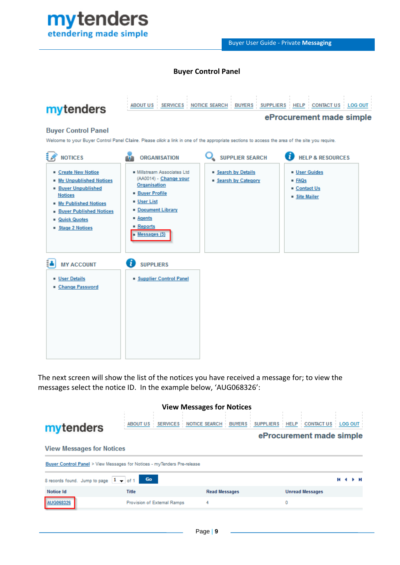

# **Buyer Control Panel**



The next screen will show the list of the notices you have received a message for; to view the messages select the notice ID. In the example below, 'AUG068326':

#### **View Messages for Notices**

| mytenders                                                               |                             |                      | ABOUT US SERVICES NOTICE SEARCH BUYERS SUPPLIERS HELP CONTACT US LOG OUT<br>eProcurement made simple |    |  |
|-------------------------------------------------------------------------|-----------------------------|----------------------|------------------------------------------------------------------------------------------------------|----|--|
| <b>View Messages for Notices</b>                                        |                             |                      |                                                                                                      |    |  |
| Buyer Control Panel > View Messages for Notices - myTenders Pre-release |                             |                      |                                                                                                      |    |  |
| 8 records found. Jump to page 1 - of 1                                  | Go                          |                      |                                                                                                      | н∢ |  |
| Notice Id                                                               | Title                       | <b>Read Messages</b> | <b>Unread Messages</b>                                                                               |    |  |
| AUG068326                                                               | Provision of External Ramps | 4                    | 0                                                                                                    |    |  |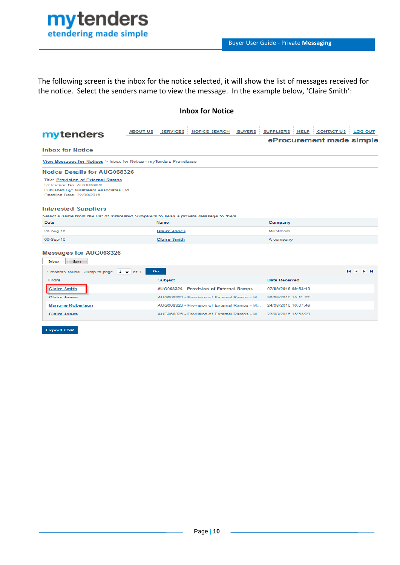The following screen is the inbox for the notice selected, it will show the list of messages received for the notice. Select the senders name to view the message. In the example below, 'Claire Smith':

# **Inbox for Notice**

| mytenders                                                                                                                                    |                     | ABOUT US SERVICES NOTICE SEARCH BUYERS      |                      | SUPPLIERS HELP CONTACT US LOG OUT |   |
|----------------------------------------------------------------------------------------------------------------------------------------------|---------------------|---------------------------------------------|----------------------|-----------------------------------|---|
|                                                                                                                                              |                     |                                             |                      | eProcurement made simple          |   |
| <b>Inbox for Notice</b>                                                                                                                      |                     |                                             |                      |                                   |   |
| View Messages for Notices > Inbox for Notice - myTenders Pre-release                                                                         |                     |                                             |                      |                                   |   |
| <b>Notice Details for AUG068326</b>                                                                                                          |                     |                                             |                      |                                   |   |
| <b>Title: Provision of External Ramps</b><br>Reference No: AUG068326<br>Published By: Millstream Associates Ltd<br>Deadline Date: 22/09/2016 |                     |                                             |                      |                                   |   |
| <b>Interested Suppliers</b>                                                                                                                  |                     |                                             |                      |                                   |   |
| Select a name from the list of Interested Suppliers to send a private message to them                                                        |                     |                                             |                      |                                   |   |
| Date                                                                                                                                         | Name                |                                             | Company              |                                   |   |
| 23-Aug-16                                                                                                                                    | <b>Claire Jones</b> |                                             | Millstream           |                                   |   |
| 06-Sep-16                                                                                                                                    | <b>Claire Smith</b> |                                             | A company            |                                   |   |
| <b>Messages for AUG068326</b><br>Inbox<br>Sent                                                                                               |                     |                                             |                      |                                   |   |
| 4 records found. Jump to page $1 \div $ of 1                                                                                                 | Go                  |                                             |                      |                                   | м |
| From                                                                                                                                         | <b>Subject</b>      |                                             | <b>Date Received</b> |                                   |   |
| <b>Claire Smith</b>                                                                                                                          |                     | AUG068326 - Provision of External Ramps -   | 07/09/2016 09:53:10  |                                   |   |
| <b>Claire Jones</b>                                                                                                                          |                     | AUG068326 - Provision of External Ramps - M | 30/08/2016 15:11:22  |                                   |   |
| <b>Marjorie Robertson</b>                                                                                                                    |                     | AUG068326 - Provision of External Ramps - M | 24/08/2016 10:07:49  |                                   |   |
| <b>Claire Jones</b>                                                                                                                          |                     | AUG068326 - Provision of External Ramps - M | 23/08/2016 15:53:20  |                                   |   |

**Export CSV**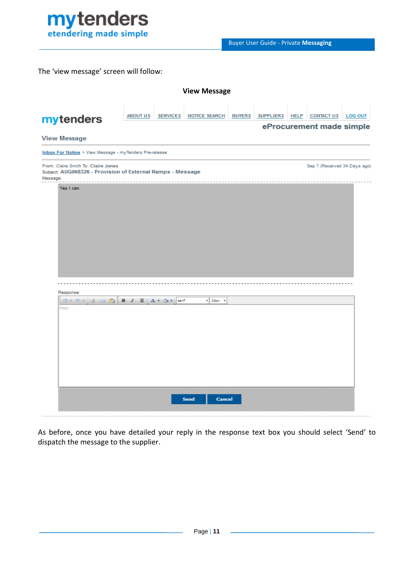

The 'view message' screen will follow:

| <b>View Message</b>                                                                                           |                 |                                         |  |  |                                                     |  |
|---------------------------------------------------------------------------------------------------------------|-----------------|-----------------------------------------|--|--|-----------------------------------------------------|--|
| mytenders                                                                                                     | <b>ABOUT US</b> | SERVICES NOTICE SEARCH BUYERS SUPPLIERS |  |  | HELP CONTACT US LOG OUT<br>eProcurement made simple |  |
| <b>View Message</b>                                                                                           |                 |                                         |  |  |                                                     |  |
| Inbox For Notice > View Message - myTenders Pre-release                                                       |                 |                                         |  |  |                                                     |  |
| From: Claire Smith To: Claire Jones<br>Subject: AUG068326 - Provision of External Ramps - Message<br>Message: |                 |                                         |  |  | Sep 7 (Received 34 Days ago)                        |  |
|                                                                                                               |                 |                                         |  |  |                                                     |  |
| Response:                                                                                                     |                 | $\frac{13px}{x}$                        |  |  |                                                     |  |
| Reply                                                                                                         |                 |                                         |  |  |                                                     |  |
|                                                                                                               |                 | <b>Cancel</b><br><b>Send</b>            |  |  |                                                     |  |

<span id="page-10-0"></span>As before, once you have detailed your reply in the response text box you should select 'Send' to dispatch the message to the supplier.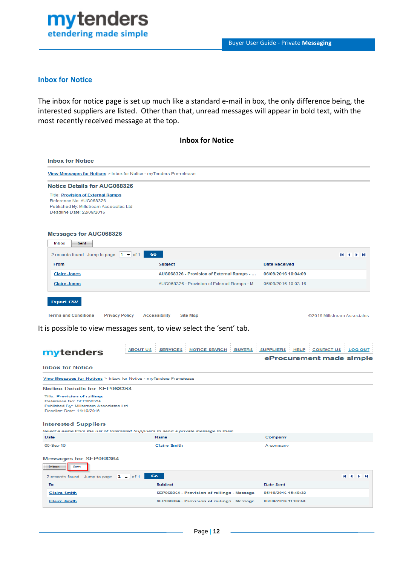# **Inbox for Notice**

The inbox for notice page is set up much like a standard e-mail in box, the only difference being, the interested suppliers are listed. Other than that, unread messages will appear in bold text, with the most recently received message at the top.

| View Messages for Notices > Inbox for Notice - myTenders Pre-release                                                                         |                                             |                      |                              |
|----------------------------------------------------------------------------------------------------------------------------------------------|---------------------------------------------|----------------------|------------------------------|
| <b>Notice Details for AUG068326</b>                                                                                                          |                                             |                      |                              |
| <b>Title: Provision of External Ramps</b><br>Reference No: AUG068326<br>Published By: Millstream Associates Ltd<br>Deadline Date: 22/09/2016 |                                             |                      |                              |
| <b>Messages for AUG068326</b><br>Inbox<br>Sent                                                                                               |                                             |                      |                              |
| 2 records found. Jump to page $1 -$ of 1                                                                                                     | Go -                                        |                      |                              |
| <b>From</b>                                                                                                                                  | <b>Subject</b>                              | <b>Date Received</b> |                              |
| <b>Claire Jones</b>                                                                                                                          | AUG068326 - Provision of External Ramps -   | 06/09/2016 10:04:09  |                              |
| <b>Claire Jones</b>                                                                                                                          | AUG068326 - Provision of External Ramps - M | 06/09/2016 10:03:16  |                              |
| <b>Export CSV</b>                                                                                                                            |                                             |                      |                              |
| <b>Terms and Conditions</b><br><b>Privacy Policy</b>                                                                                         | <b>Accessibility</b><br><b>Site Map</b>     |                      | @2016 Millstream Associates. |

|                                                                                                                                        |                                             | eProcurement made simple |          |
|----------------------------------------------------------------------------------------------------------------------------------------|---------------------------------------------|--------------------------|----------|
| <b>Inbox for Notice</b>                                                                                                                |                                             |                          |          |
| View Messages for Notices > Inbox for Notice - myTenders Pre-release                                                                   |                                             |                          |          |
| Notice Details for SEP068364                                                                                                           |                                             |                          |          |
| <b>Title: Provision of railings</b><br>Reference No: SEP068364<br>Published By: Millstream Associates Ltd<br>Deadline Date: 14/10/2016 |                                             |                          |          |
| <b>Interested Suppliers</b>                                                                                                            |                                             |                          |          |
| Select a name from the list of Interested Suppliers to send a private message to them                                                  |                                             |                          |          |
| Date                                                                                                                                   | Name                                        | Company                  |          |
| 06-Sep-16                                                                                                                              | <b>Claire Smith</b>                         | A company                |          |
| <b>Messages for SEP068364</b>                                                                                                          |                                             |                          |          |
| <b>Inbox</b><br>Sent                                                                                                                   |                                             |                          |          |
| 2 records found. Jump to page $1 -$ of 1                                                                                               | Go.                                         | н⊣                       | <b>.</b> |
| To                                                                                                                                     | <b>Subject</b>                              | Date Sent                |          |
| <b>Claire Smith</b>                                                                                                                    | SEP068364 - Provision of railings - Message | 05/10/2016 15:48:22      |          |
| <b>Claire Smith</b>                                                                                                                    | SEP068364 - Provision of railings - Message | 06/09/2016 11:06:53      |          |